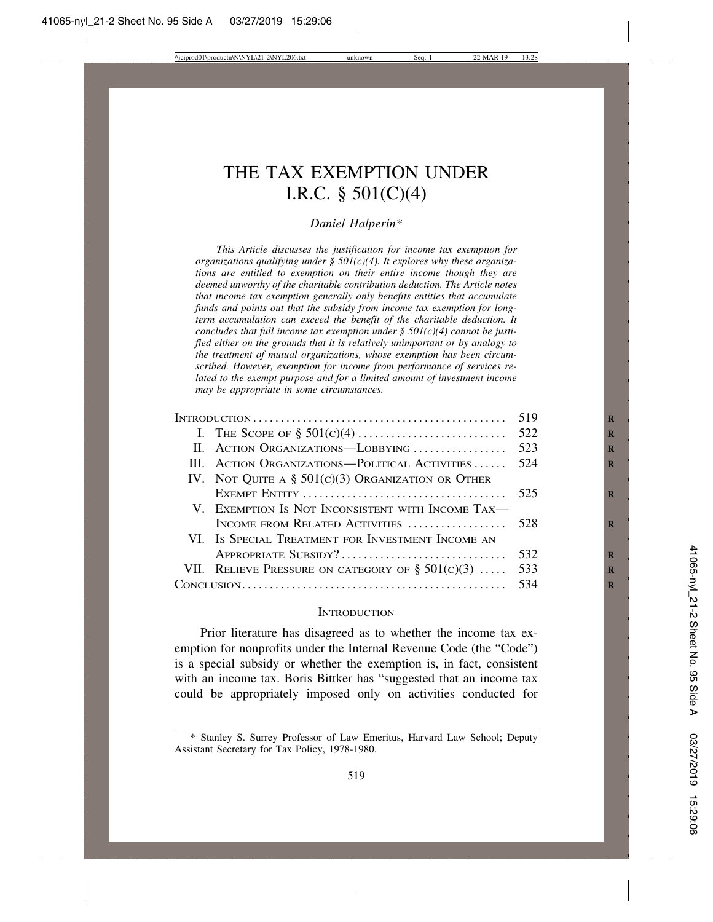# THE TAX EXEMPTION UNDER I.R.C. § 501(C)(4)

## *Daniel Halperin\**

*This Article discusses the justification for income tax exemption for organizations qualifying under § 501(c)(4). It explores why these organizations are entitled to exemption on their entire income though they are deemed unworthy of the charitable contribution deduction. The Article notes that income tax exemption generally only benefits entities that accumulate funds and points out that the subsidy from income tax exemption for longterm accumulation can exceed the benefit of the charitable deduction. It concludes that full income tax exemption under § 501(c)(4) cannot be justified either on the grounds that it is relatively unimportant or by analogy to the treatment of mutual organizations, whose exemption has been circumscribed. However, exemption for income from performance of services related to the exempt purpose and for a limited amount of investment income may be appropriate in some circumstances.*

|  | III. ACTION ORGANIZATIONS—POLITICAL ACTIVITIES  524  |     |
|--|------------------------------------------------------|-----|
|  | IV. NOT QUITE A $\S$ 501(c)(3) Organization or Other |     |
|  |                                                      |     |
|  | V. EXEMPTION IS NOT INCONSISTENT WITH INCOME TAX—    |     |
|  | INCOME FROM RELATED ACTIVITIES  528                  |     |
|  | VI. Is SPECIAL TREATMENT FOR INVESTMENT INCOME AN    |     |
|  |                                                      |     |
|  | VII. RELIEVE PRESSURE ON CATEGORY OF $\S 501(c)(3)$  | 533 |
|  |                                                      |     |
|  |                                                      |     |

#### **INTRODUCTION**

Prior literature has disagreed as to whether the income tax exemption for nonprofits under the Internal Revenue Code (the "Code") is a special subsidy or whether the exemption is, in fact, consistent with an income tax. Boris Bittker has "suggested that an income tax could be appropriately imposed only on activities conducted for

<sup>\*</sup> Stanley S. Surrey Professor of Law Emeritus, Harvard Law School; Deputy Assistant Secretary for Tax Policy, 1978-1980.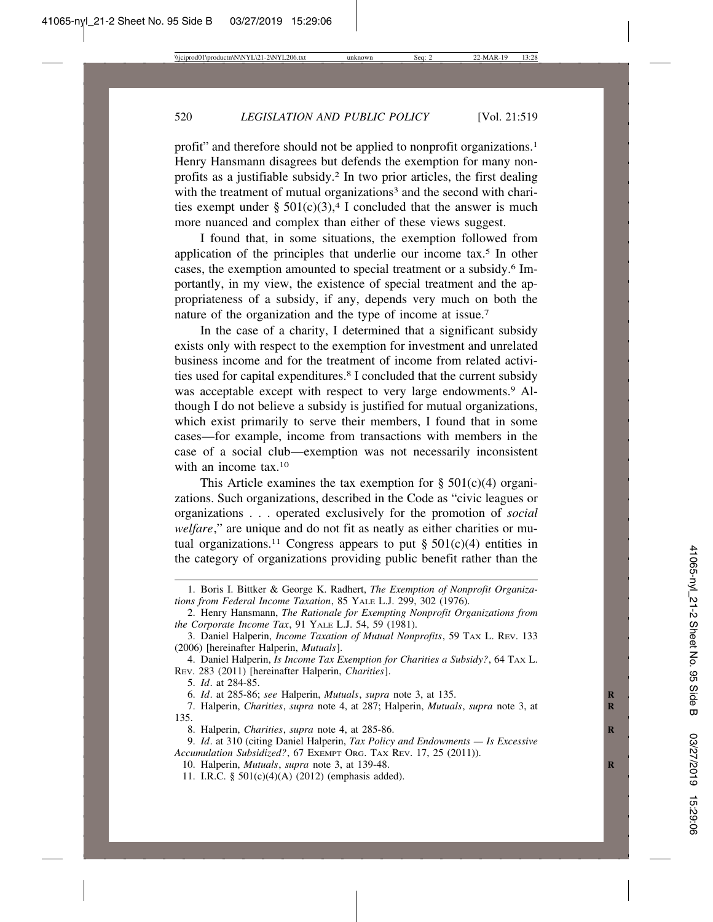profit" and therefore should not be applied to nonprofit organizations.1 Henry Hansmann disagrees but defends the exemption for many nonprofits as a justifiable subsidy.2 In two prior articles, the first dealing with the treatment of mutual organizations<sup>3</sup> and the second with charities exempt under §  $501(c)(3)$ ,<sup>4</sup> I concluded that the answer is much more nuanced and complex than either of these views suggest.

I found that, in some situations, the exemption followed from application of the principles that underlie our income tax.5 In other cases, the exemption amounted to special treatment or a subsidy.6 Importantly, in my view, the existence of special treatment and the appropriateness of a subsidy, if any, depends very much on both the nature of the organization and the type of income at issue.7

In the case of a charity, I determined that a significant subsidy exists only with respect to the exemption for investment and unrelated business income and for the treatment of income from related activities used for capital expenditures.8 I concluded that the current subsidy was acceptable except with respect to very large endowments.<sup>9</sup> Although I do not believe a subsidy is justified for mutual organizations, which exist primarily to serve their members, I found that in some cases—for example, income from transactions with members in the case of a social club—exemption was not necessarily inconsistent with an income tax  $10$ 

This Article examines the tax exemption for  $\S$  501(c)(4) organizations. Such organizations, described in the Code as "civic leagues or organizations . . . operated exclusively for the promotion of *social welfare*," are unique and do not fit as neatly as either charities or mutual organizations.<sup>11</sup> Congress appears to put  $\S 501(c)(4)$  entities in the category of organizations providing public benefit rather than the

5. *Id*. at 284-85.

6. *Id*. at 285-86; *see* Halperin, *Mutuals*, *supra* note 3, at 135. **R**

7. Halperin, *Charities*, *supra* note 4, at 287; Halperin, *Mutuals*, *supra* note 3, at 135.

8. Halperin, *Charities*, *supra* note 4, at 285-86. **R**

<sup>1.</sup> Boris I. Bittker & George K. Radhert, *The Exemption of Nonprofit Organizations from Federal Income Taxation*, 85 YALE L.J. 299, 302 (1976).

<sup>2.</sup> Henry Hansmann, *The Rationale for Exempting Nonprofit Organizations from the Corporate Income Tax*, 91 YALE L.J. 54, 59 (1981).

<sup>3.</sup> Daniel Halperin, *Income Taxation of Mutual Nonprofits*, 59 TAX L. REV. 133 (2006) [hereinafter Halperin, *Mutuals*].

<sup>4.</sup> Daniel Halperin, *Is Income Tax Exemption for Charities a Subsidy?*, 64 TAX L. REV. 283 (2011) [hereinafter Halperin, *Charities*].

<sup>9.</sup> *Id*. at 310 (citing Daniel Halperin, *Tax Policy and Endowments — Is Excessive Accumulation Subsidized?*, 67 EXEMPT ORG. TAX REV. 17, 25 (2011)).

<sup>10.</sup> Halperin, *Mutuals*, *supra* note 3, at 139-48. **R**

<sup>11.</sup> I.R.C. § 501(c)(4)(A) (2012) (emphasis added).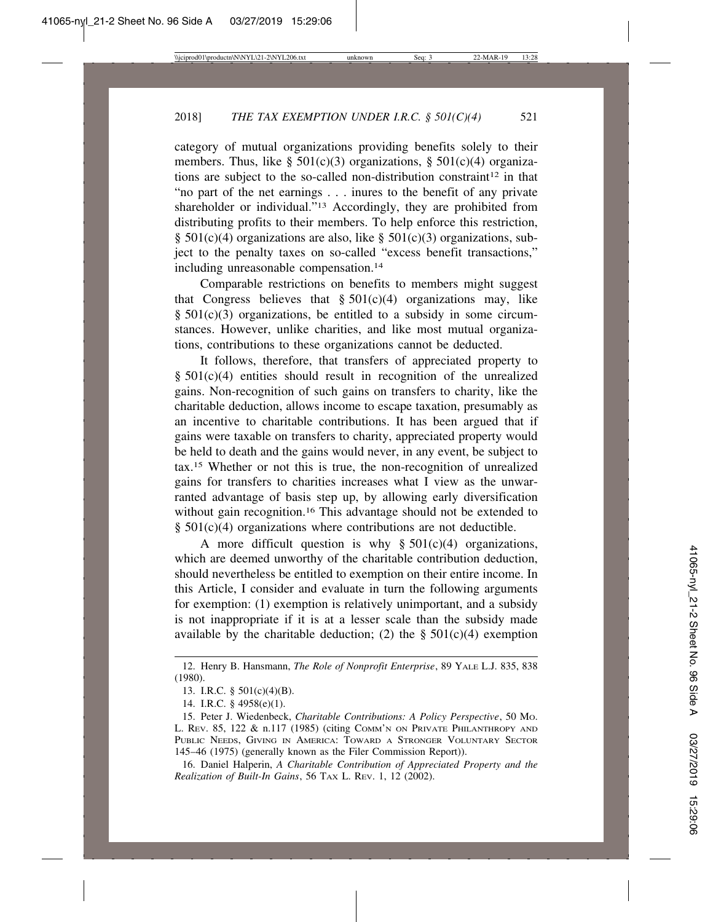category of mutual organizations providing benefits solely to their members. Thus, like  $\S 501(c)(3)$  organizations,  $\S 501(c)(4)$  organizations are subject to the so-called non-distribution constraint<sup>12</sup> in that "no part of the net earnings . . . inures to the benefit of any private shareholder or individual."<sup>13</sup> Accordingly, they are prohibited from distributing profits to their members. To help enforce this restriction,  $\S$  501(c)(4) organizations are also, like  $\S$  501(c)(3) organizations, subject to the penalty taxes on so-called "excess benefit transactions," including unreasonable compensation.<sup>14</sup>

Comparable restrictions on benefits to members might suggest that Congress believes that  $\S 501(c)(4)$  organizations may, like  $§ 501(c)(3)$  organizations, be entitled to a subsidy in some circumstances. However, unlike charities, and like most mutual organizations, contributions to these organizations cannot be deducted.

It follows, therefore, that transfers of appreciated property to  $§ 501(c)(4)$  entities should result in recognition of the unrealized gains. Non-recognition of such gains on transfers to charity, like the charitable deduction, allows income to escape taxation, presumably as an incentive to charitable contributions. It has been argued that if gains were taxable on transfers to charity, appreciated property would be held to death and the gains would never, in any event, be subject to tax.15 Whether or not this is true, the non-recognition of unrealized gains for transfers to charities increases what I view as the unwarranted advantage of basis step up, by allowing early diversification without gain recognition.<sup>16</sup> This advantage should not be extended to  $§ 501(c)(4)$  organizations where contributions are not deductible.

A more difficult question is why  $\S 501(c)(4)$  organizations, which are deemed unworthy of the charitable contribution deduction, should nevertheless be entitled to exemption on their entire income. In this Article, I consider and evaluate in turn the following arguments for exemption: (1) exemption is relatively unimportant, and a subsidy is not inappropriate if it is at a lesser scale than the subsidy made available by the charitable deduction; (2) the  $\S$  501(c)(4) exemption

<sup>12.</sup> Henry B. Hansmann, *The Role of Nonprofit Enterprise*, 89 YALE L.J. 835, 838 (1980).

<sup>13.</sup> I.R.C. § 501(c)(4)(B).

<sup>14.</sup> I.R.C. § 4958(e)(1).

<sup>15.</sup> Peter J. Wiedenbeck, *Charitable Contributions: A Policy Perspective*, 50 MO. L. REV. 85, 122 & n.117 (1985) (citing COMM'N ON PRIVATE PHILANTHROPY AND PUBLIC NEEDS, GIVING IN AMERICA: TOWARD A STRONGER VOLUNTARY SECTOR 145–46 (1975) (generally known as the Filer Commission Report)).

<sup>16.</sup> Daniel Halperin, *A Charitable Contribution of Appreciated Property and the Realization of Built-In Gains*, 56 TAX L. REV. 1, 12 (2002).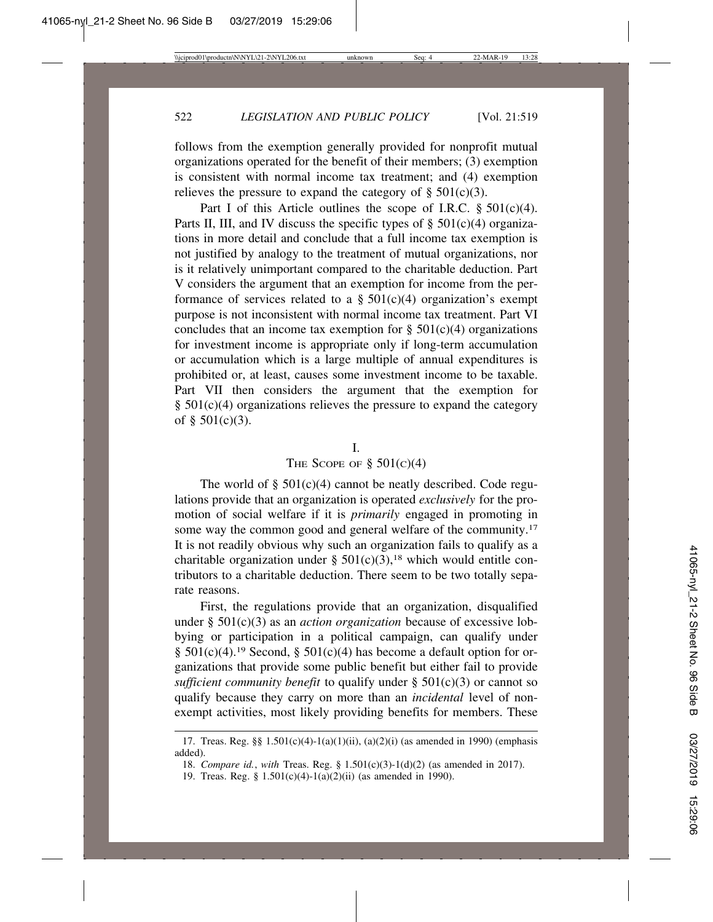follows from the exemption generally provided for nonprofit mutual organizations operated for the benefit of their members; (3) exemption is consistent with normal income tax treatment; and (4) exemption relieves the pressure to expand the category of  $\S$  501(c)(3).

Part I of this Article outlines the scope of I.R.C.  $\S 501(c)(4)$ . Parts II, III, and IV discuss the specific types of  $\S$  501(c)(4) organizations in more detail and conclude that a full income tax exemption is not justified by analogy to the treatment of mutual organizations, nor is it relatively unimportant compared to the charitable deduction. Part V considers the argument that an exemption for income from the performance of services related to a  $\S 501(c)(4)$  organization's exempt purpose is not inconsistent with normal income tax treatment. Part VI concludes that an income tax exemption for  $\S 501(c)(4)$  organizations for investment income is appropriate only if long-term accumulation or accumulation which is a large multiple of annual expenditures is prohibited or, at least, causes some investment income to be taxable. Part VII then considers the argument that the exemption for  $§ 501(c)(4)$  organizations relieves the pressure to expand the category of § 501(c)(3).

## I.

## THE SCOPE OF  $\S$  501(c)(4)

The world of  $\S$  501(c)(4) cannot be neatly described. Code regulations provide that an organization is operated *exclusively* for the promotion of social welfare if it is *primarily* engaged in promoting in some way the common good and general welfare of the community.<sup>17</sup> It is not readily obvious why such an organization fails to qualify as a charitable organization under §  $501(c)(3)$ ,<sup>18</sup> which would entitle contributors to a charitable deduction. There seem to be two totally separate reasons.

First, the regulations provide that an organization, disqualified under § 501(c)(3) as an *action organization* because of excessive lobbying or participation in a political campaign, can qualify under  $§ 501(c)(4).<sup>19</sup> Second, § 501(c)(4) has become a default option for or$ ganizations that provide some public benefit but either fail to provide *sufficient community benefit* to qualify under § 501(c)(3) or cannot so qualify because they carry on more than an *incidental* level of nonexempt activities, most likely providing benefits for members. These

<sup>17.</sup> Treas. Reg. §§ 1.501(c)(4)-1(a)(1)(ii), (a)(2)(i) (as amended in 1990) (emphasis added).

<sup>18.</sup> *Compare id.*, *with* Treas. Reg. § 1.501(c)(3)-1(d)(2) (as amended in 2017).

<sup>19.</sup> Treas. Reg. § 1.501(c)(4)-1(a)(2)(ii) (as amended in 1990).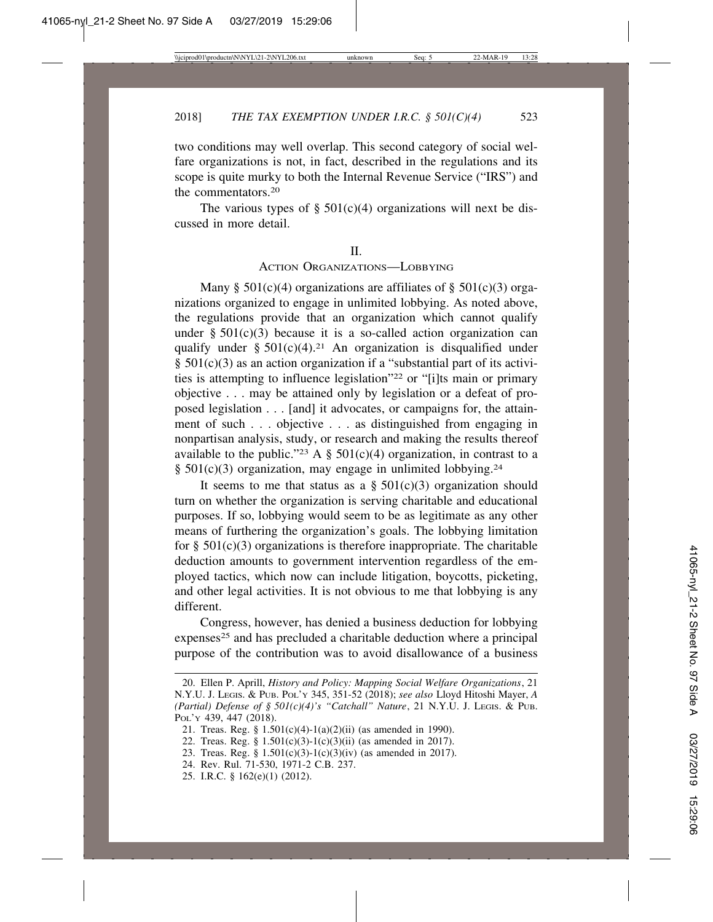two conditions may well overlap. This second category of social welfare organizations is not, in fact, described in the regulations and its scope is quite murky to both the Internal Revenue Service ("IRS") and the commentators 20

The various types of  $\S$  501(c)(4) organizations will next be discussed in more detail.

#### $II$ .

## ACTION ORGANIZATIONS—LOBBYING

Many  $\S$  501(c)(4) organizations are affiliates of  $\S$  501(c)(3) organizations organized to engage in unlimited lobbying. As noted above, the regulations provide that an organization which cannot qualify under  $\S$  501(c)(3) because it is a so-called action organization can qualify under §  $501(c)(4)$ .<sup>21</sup> An organization is disqualified under § 501(c)(3) as an action organization if a "substantial part of its activities is attempting to influence legislation"22 or "[i]ts main or primary objective . . . may be attained only by legislation or a defeat of proposed legislation . . . [and] it advocates, or campaigns for, the attainment of such . . . objective . . . as distinguished from engaging in nonpartisan analysis, study, or research and making the results thereof available to the public."<sup>23</sup> A § 501(c)(4) organization, in contrast to a §  $501(c)(3)$  organization, may engage in unlimited lobbying.<sup>24</sup>

It seems to me that status as a  $\S$  501(c)(3) organization should turn on whether the organization is serving charitable and educational purposes. If so, lobbying would seem to be as legitimate as any other means of furthering the organization's goals. The lobbying limitation for  $\S$  501(c)(3) organizations is therefore inappropriate. The charitable deduction amounts to government intervention regardless of the employed tactics, which now can include litigation, boycotts, picketing, and other legal activities. It is not obvious to me that lobbying is any different.

Congress, however, has denied a business deduction for lobbying expenses<sup>25</sup> and has precluded a charitable deduction where a principal purpose of the contribution was to avoid disallowance of a business

- 24. Rev. Rul. 71-530, 1971-2 C.B. 237.
- 25. I.R.C. § 162(e)(1) (2012).

<sup>20.</sup> Ellen P. Aprill, *History and Policy: Mapping Social Welfare Organizations*, 21 N.Y.U. J. LEGIS. & PUB. POL'Y 345, 351-52 (2018); *see also* Lloyd Hitoshi Mayer, *A (Partial) Defense of § 501(c)(4)'s "Catchall" Nature*, 21 N.Y.U. J. LEGIS. & PUB. POL'Y 439, 447 (2018).

<sup>21.</sup> Treas. Reg. § 1.501(c)(4)-1(a)(2)(ii) (as amended in 1990).

<sup>22.</sup> Treas. Reg. § 1.501(c)(3)-1(c)(3)(ii) (as amended in 2017).

<sup>23.</sup> Treas. Reg. § 1.501(c)(3)-1(c)(3)(iv) (as amended in 2017).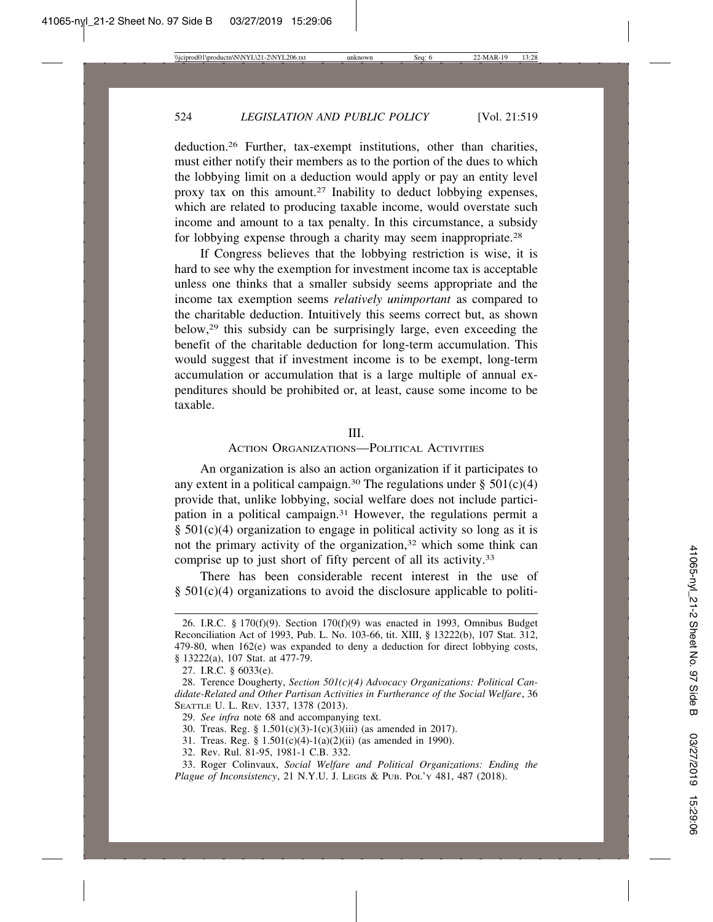deduction.26 Further, tax-exempt institutions, other than charities, must either notify their members as to the portion of the dues to which the lobbying limit on a deduction would apply or pay an entity level proxy tax on this amount.27 Inability to deduct lobbying expenses, which are related to producing taxable income, would overstate such income and amount to a tax penalty. In this circumstance, a subsidy for lobbying expense through a charity may seem inappropriate.28

If Congress believes that the lobbying restriction is wise, it is hard to see why the exemption for investment income tax is acceptable unless one thinks that a smaller subsidy seems appropriate and the income tax exemption seems *relatively unimportant* as compared to the charitable deduction. Intuitively this seems correct but, as shown below,29 this subsidy can be surprisingly large, even exceeding the benefit of the charitable deduction for long-term accumulation. This would suggest that if investment income is to be exempt, long-term accumulation or accumulation that is a large multiple of annual expenditures should be prohibited or, at least, cause some income to be taxable.

## III.

# ACTION ORGANIZATIONS—POLITICAL ACTIVITIES

An organization is also an action organization if it participates to any extent in a political campaign.<sup>30</sup> The regulations under §  $501(c)(4)$ provide that, unlike lobbying, social welfare does not include participation in a political campaign.31 However, the regulations permit a § 501(c)(4) organization to engage in political activity so long as it is not the primary activity of the organization,<sup>32</sup> which some think can comprise up to just short of fifty percent of all its activity.33

There has been considerable recent interest in the use of § 501(c)(4) organizations to avoid the disclosure applicable to politi-

<sup>26.</sup> I.R.C. § 170(f)(9). Section 170(f)(9) was enacted in 1993, Omnibus Budget Reconciliation Act of 1993, Pub. L. No. 103-66, tit. XIII, § 13222(b), 107 Stat. 312, 479-80, when 162(e) was expanded to deny a deduction for direct lobbying costs, § 13222(a), 107 Stat. at 477-79.

<sup>27.</sup> I.R.C. § 6033(e).

<sup>28.</sup> Terence Dougherty, *Section 501(c)(4) Advocacy Organizations: Political Candidate-Related and Other Partisan Activities in Furtherance of the Social Welfare*, 36 SEATTLE U. L. REV. 1337, 1378 (2013).

<sup>29.</sup> *See infra* note 68 and accompanying text.

<sup>30.</sup> Treas. Reg. § 1.501(c)(3)-1(c)(3)(iii) (as amended in 2017).

<sup>31.</sup> Treas. Reg. § 1.501(c)(4)-1(a)(2)(ii) (as amended in 1990).

<sup>32.</sup> Rev. Rul. 81-95, 1981-1 C.B. 332.

<sup>33.</sup> Roger Colinvaux, *Social Welfare and Political Organizations: Ending the Plague of Inconsistency*, 21 N.Y.U. J. LEGIS & PUB. POL'Y 481, 487 (2018).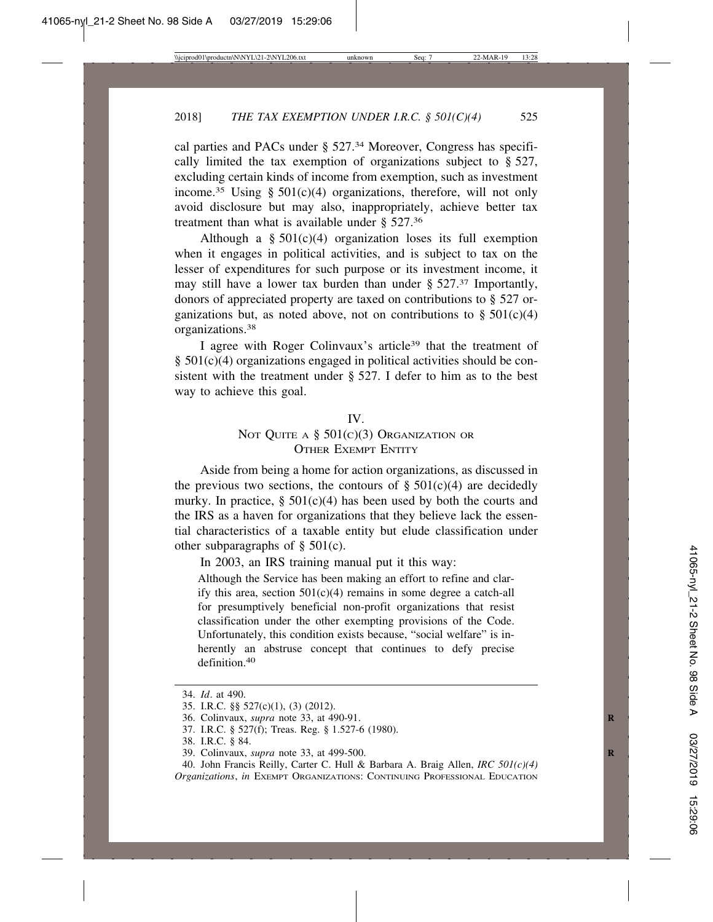cal parties and PACs under § 527.34 Moreover, Congress has specifically limited the tax exemption of organizations subject to § 527, excluding certain kinds of income from exemption, such as investment income.<sup>35</sup> Using §  $501(c)(4)$  organizations, therefore, will not only avoid disclosure but may also, inappropriately, achieve better tax treatment than what is available under § 527.36

Although a  $§$  501(c)(4) organization loses its full exemption when it engages in political activities, and is subject to tax on the lesser of expenditures for such purpose or its investment income, it may still have a lower tax burden than under  $\S 527<sup>37</sup>$  Importantly, donors of appreciated property are taxed on contributions to § 527 organizations but, as noted above, not on contributions to  $\S$  501(c)(4) organizations.38

I agree with Roger Colinvaux's article39 that the treatment of § 501(c)(4) organizations engaged in political activities should be consistent with the treatment under § 527. I defer to him as to the best way to achieve this goal.

#### IV.

# NOT QUITE A  $\S$  501(c)(3) Organization or OTHER EXEMPT ENTITY

Aside from being a home for action organizations, as discussed in the previous two sections, the contours of  $\S$  501(c)(4) are decidedly murky. In practice,  $\S 501(c)(4)$  has been used by both the courts and the IRS as a haven for organizations that they believe lack the essential characteristics of a taxable entity but elude classification under other subparagraphs of § 501(c).

In 2003, an IRS training manual put it this way:

Although the Service has been making an effort to refine and clarify this area, section  $501(c)(4)$  remains in some degree a catch-all for presumptively beneficial non-profit organizations that resist classification under the other exempting provisions of the Code. Unfortunately, this condition exists because, "social welfare" is inherently an abstruse concept that continues to defy precise definition 40

<sup>34.</sup> *Id*. at 490.

<sup>35.</sup> I.R.C. §§ 527(c)(1), (3) (2012).

<sup>36.</sup> Colinvaux, *supra* note 33, at 490-91. **R**

<sup>37.</sup> I.R.C. § 527(f); Treas. Reg. § 1.527-6 (1980).

<sup>38.</sup> I.R.C. § 84.

<sup>39.</sup> Colinvaux, *supra* note 33, at 499-500. **R**

<sup>40.</sup> John Francis Reilly, Carter C. Hull & Barbara A. Braig Allen, *IRC 501(c)(4) Organizations*, *in* EXEMPT ORGANIZATIONS: CONTINUING PROFESSIONAL EDUCATION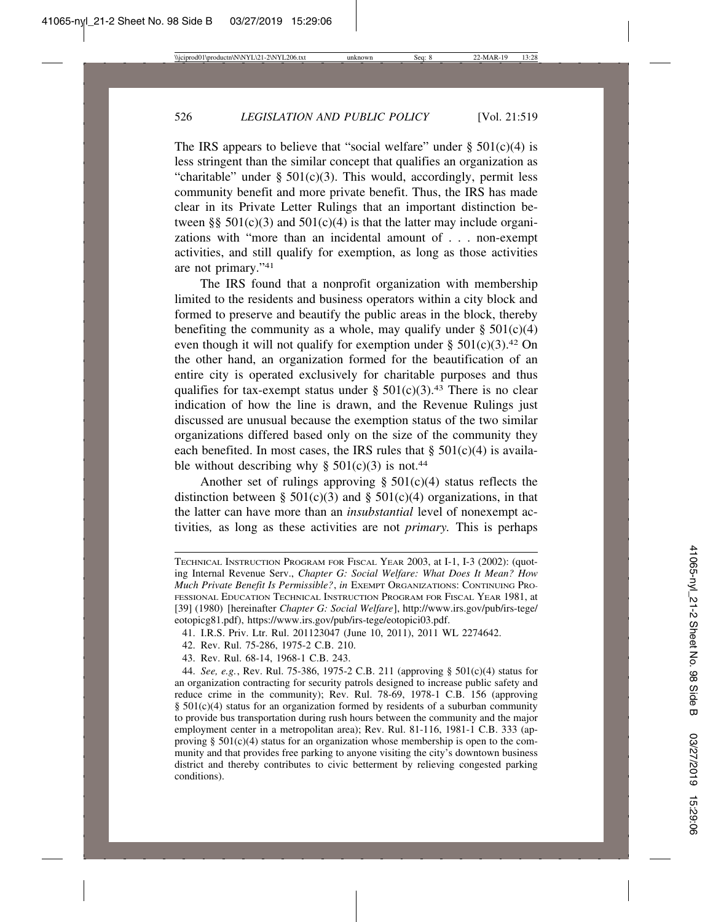The IRS appears to believe that "social welfare" under  $\S 501(c)(4)$  is less stringent than the similar concept that qualifies an organization as "charitable" under  $\S$  501(c)(3). This would, accordingly, permit less community benefit and more private benefit. Thus, the IRS has made clear in its Private Letter Rulings that an important distinction between §§  $501(c)(3)$  and  $501(c)(4)$  is that the latter may include organizations with "more than an incidental amount of . . . non-exempt activities, and still qualify for exemption, as long as those activities are not primary."41

The IRS found that a nonprofit organization with membership limited to the residents and business operators within a city block and formed to preserve and beautify the public areas in the block, thereby benefiting the community as a whole, may qualify under  $\S 501(c)(4)$ even though it will not qualify for exemption under §  $501(c)(3)$ .<sup>42</sup> On the other hand, an organization formed for the beautification of an entire city is operated exclusively for charitable purposes and thus qualifies for tax-exempt status under  $\S$  501(c)(3).<sup>43</sup> There is no clear indication of how the line is drawn, and the Revenue Rulings just discussed are unusual because the exemption status of the two similar organizations differed based only on the size of the community they each benefited. In most cases, the IRS rules that  $\S$  501(c)(4) is available without describing why  $\S 501(c)(3)$  is not.<sup>44</sup>

Another set of rulings approving  $\S$  501(c)(4) status reflects the distinction between § 501(c)(3) and § 501(c)(4) organizations, in that the latter can have more than an *insubstantial* level of nonexempt activities*,* as long as these activities are not *primary.* This is perhaps

- 42. Rev. Rul. 75-286, 1975-2 C.B. 210.
- 43. Rev. Rul. 68-14, 1968-1 C.B. 243.

TECHNICAL INSTRUCTION PROGRAM FOR FISCAL YEAR 2003, at I-1, I-3 (2002): (quoting Internal Revenue Serv., *Chapter G: Social Welfare: What Does It Mean? How Much Private Benefit Is Permissible?*, *in* EXEMPT ORGANIZATIONS: CONTINUING PRO-FESSIONAL EDUCATION TECHNICAL INSTRUCTION PROGRAM FOR FISCAL YEAR 1981, at [39] (1980) [hereinafter *Chapter G: Social Welfare*], http://www.irs.gov/pub/irs-tege/ eotopicg81.pdf), https://www.irs.gov/pub/irs-tege/eotopici03.pdf.

<sup>41.</sup> I.R.S. Priv. Ltr. Rul. 201123047 (June 10, 2011), 2011 WL 2274642.

<sup>44.</sup> *See, e.g.*, Rev. Rul. 75-386, 1975-2 C.B. 211 (approving § 501(c)(4) status for an organization contracting for security patrols designed to increase public safety and reduce crime in the community); Rev. Rul. 78-69, 1978-1 C.B. 156 (approving  $§$  501(c)(4) status for an organization formed by residents of a suburban community to provide bus transportation during rush hours between the community and the major employment center in a metropolitan area); Rev. Rul. 81-116, 1981-1 C.B. 333 (approving  $\S$  501(c)(4) status for an organization whose membership is open to the community and that provides free parking to anyone visiting the city's downtown business district and thereby contributes to civic betterment by relieving congested parking conditions).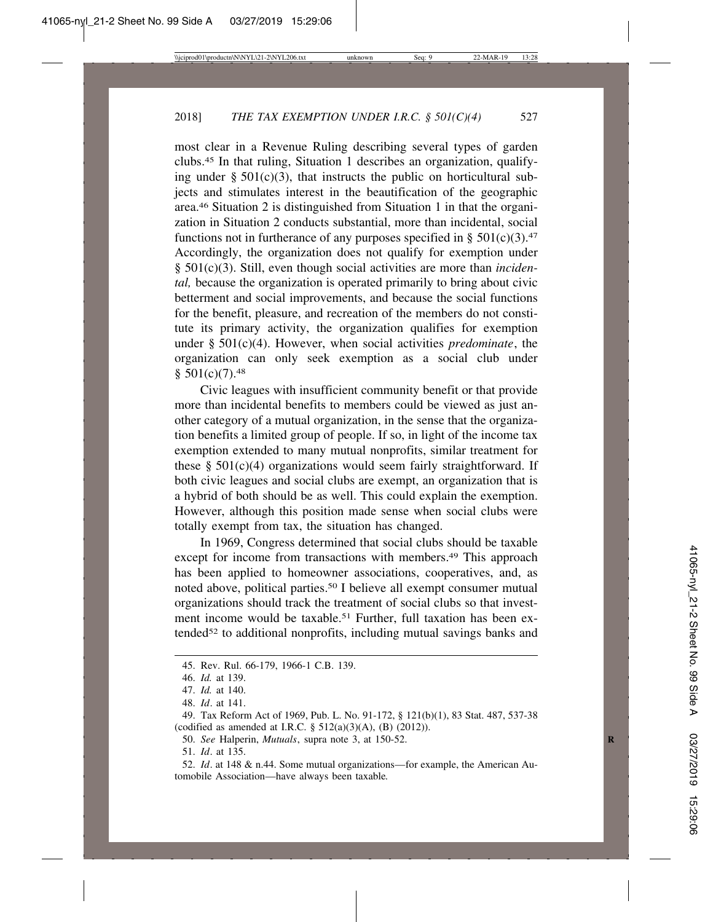most clear in a Revenue Ruling describing several types of garden clubs.45 In that ruling, Situation 1 describes an organization, qualifying under  $\S$  501(c)(3), that instructs the public on horticultural subjects and stimulates interest in the beautification of the geographic area.46 Situation 2 is distinguished from Situation 1 in that the organization in Situation 2 conducts substantial, more than incidental, social functions not in furtherance of any purposes specified in §  $501(c)(3)$ .<sup>47</sup> Accordingly, the organization does not qualify for exemption under § 501(c)(3). Still, even though social activities are more than *incidental,* because the organization is operated primarily to bring about civic betterment and social improvements, and because the social functions for the benefit, pleasure, and recreation of the members do not constitute its primary activity, the organization qualifies for exemption under § 501(c)(4). However, when social activities *predominate*, the organization can only seek exemption as a social club under  $$501(c)(7).48$ 

Civic leagues with insufficient community benefit or that provide more than incidental benefits to members could be viewed as just another category of a mutual organization, in the sense that the organization benefits a limited group of people. If so, in light of the income tax exemption extended to many mutual nonprofits, similar treatment for these  $\S$  501(c)(4) organizations would seem fairly straightforward. If both civic leagues and social clubs are exempt, an organization that is a hybrid of both should be as well. This could explain the exemption. However, although this position made sense when social clubs were totally exempt from tax, the situation has changed.

In 1969, Congress determined that social clubs should be taxable except for income from transactions with members.<sup>49</sup> This approach has been applied to homeowner associations, cooperatives, and, as noted above, political parties.50 I believe all exempt consumer mutual organizations should track the treatment of social clubs so that investment income would be taxable.<sup>51</sup> Further, full taxation has been extended<sup>52</sup> to additional nonprofits, including mutual savings banks and

<sup>45.</sup> Rev. Rul. 66-179, 1966-1 C.B. 139.

<sup>46.</sup> *Id.* at 139.

<sup>47.</sup> *Id.* at 140.

<sup>48.</sup> *Id*. at 141.

<sup>49.</sup> Tax Reform Act of 1969, Pub. L. No. 91-172, § 121(b)(1), 83 Stat. 487, 537-38 (codified as amended at I.R.C.  $\S$  512(a)(3)(A), (B) (2012)).

<sup>50.</sup> *See* Halperin, *Mutuals*, supra note 3, at 150-52. **R**

<sup>51.</sup> *Id*. at 135.

<sup>52.</sup> *Id*. at 148 & n.44. Some mutual organizations—for example, the American Automobile Association—have always been taxable*.*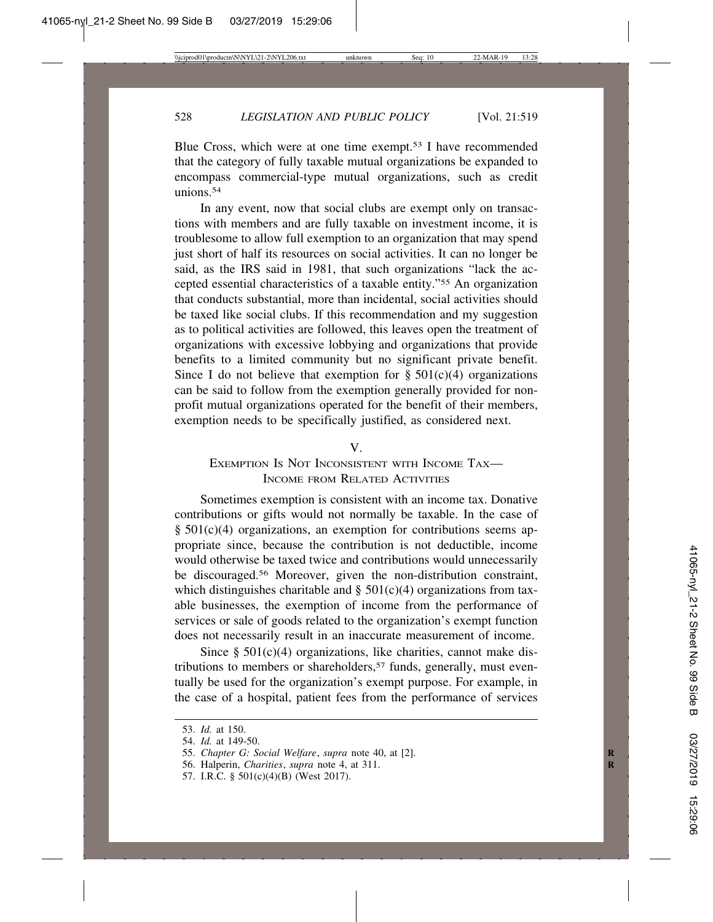Blue Cross, which were at one time exempt.53 I have recommended that the category of fully taxable mutual organizations be expanded to encompass commercial-type mutual organizations, such as credit unions 54

In any event, now that social clubs are exempt only on transactions with members and are fully taxable on investment income, it is troublesome to allow full exemption to an organization that may spend just short of half its resources on social activities. It can no longer be said, as the IRS said in 1981, that such organizations "lack the accepted essential characteristics of a taxable entity."55 An organization that conducts substantial, more than incidental, social activities should be taxed like social clubs. If this recommendation and my suggestion as to political activities are followed, this leaves open the treatment of organizations with excessive lobbying and organizations that provide benefits to a limited community but no significant private benefit. Since I do not believe that exemption for  $\S 501(c)(4)$  organizations can be said to follow from the exemption generally provided for nonprofit mutual organizations operated for the benefit of their members, exemption needs to be specifically justified, as considered next.

V.

# EXEMPTION IS NOT INCONSISTENT WITH INCOME TAX-INCOME FROM RELATED ACTIVITIES

Sometimes exemption is consistent with an income tax. Donative contributions or gifts would not normally be taxable. In the case of § 501(c)(4) organizations, an exemption for contributions seems appropriate since, because the contribution is not deductible, income would otherwise be taxed twice and contributions would unnecessarily be discouraged.<sup>56</sup> Moreover, given the non-distribution constraint, which distinguishes charitable and  $\S$  501(c)(4) organizations from taxable businesses, the exemption of income from the performance of services or sale of goods related to the organization's exempt function does not necessarily result in an inaccurate measurement of income.

Since  $\S 501(c)(4)$  organizations, like charities, cannot make distributions to members or shareholders,<sup>57</sup> funds, generally, must eventually be used for the organization's exempt purpose. For example, in the case of a hospital, patient fees from the performance of services

<sup>53.</sup> *Id.* at 150.

<sup>54.</sup> *Id.* at 149-50.

<sup>55.</sup> *Chapter G: Social Welfare*, *supra* note 40, at [2]. **R**

<sup>56.</sup> Halperin, *Charities*, *supra* note 4, at 311. **R**

<sup>57.</sup> I.R.C. § 501(c)(4)(B) (West 2017).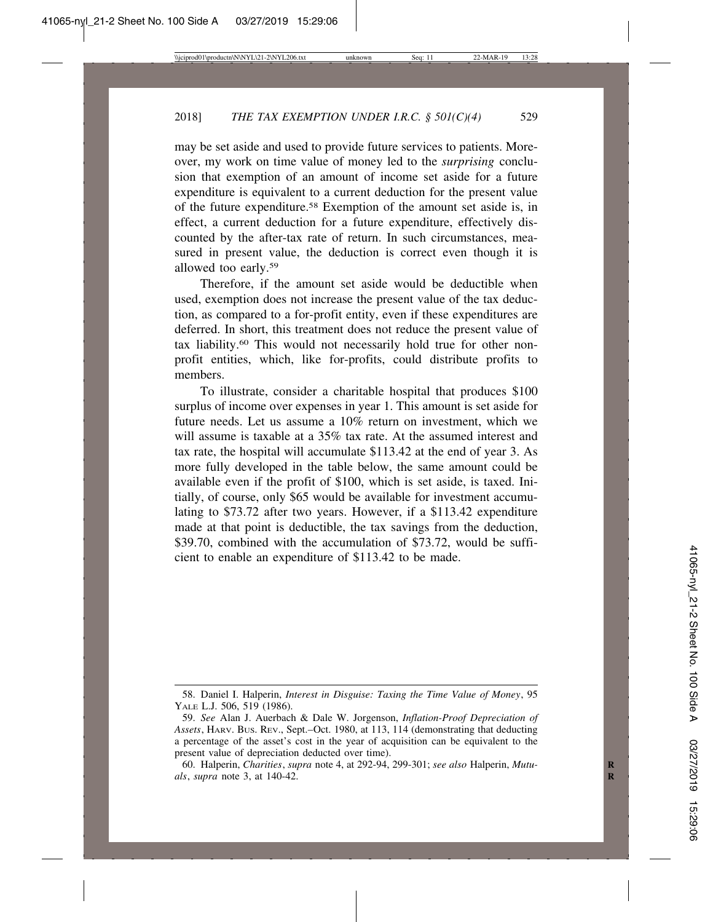may be set aside and used to provide future services to patients. Moreover, my work on time value of money led to the *surprising* conclusion that exemption of an amount of income set aside for a future expenditure is equivalent to a current deduction for the present value of the future expenditure.58 Exemption of the amount set aside is, in effect, a current deduction for a future expenditure, effectively discounted by the after-tax rate of return. In such circumstances, measured in present value, the deduction is correct even though it is allowed too early.59

Therefore, if the amount set aside would be deductible when used, exemption does not increase the present value of the tax deduction, as compared to a for-profit entity, even if these expenditures are deferred. In short, this treatment does not reduce the present value of tax liability.60 This would not necessarily hold true for other nonprofit entities, which, like for-profits, could distribute profits to members.

To illustrate, consider a charitable hospital that produces \$100 surplus of income over expenses in year 1. This amount is set aside for future needs. Let us assume a 10% return on investment, which we will assume is taxable at a 35% tax rate. At the assumed interest and tax rate, the hospital will accumulate \$113.42 at the end of year 3. As more fully developed in the table below, the same amount could be available even if the profit of \$100, which is set aside, is taxed. Initially, of course, only \$65 would be available for investment accumulating to \$73.72 after two years. However, if a \$113.42 expenditure made at that point is deductible, the tax savings from the deduction, \$39.70, combined with the accumulation of \$73.72, would be sufficient to enable an expenditure of \$113.42 to be made.

<sup>58.</sup> Daniel I. Halperin, *Interest in Disguise: Taxing the Time Value of Money*, 95 YALE L.J. 506, 519 (1986).

<sup>59.</sup> *See* Alan J. Auerbach & Dale W. Jorgenson, *Inflation-Proof Depreciation of Assets*, HARV. BUS. REV., Sept.–Oct. 1980, at 113, 114 (demonstrating that deducting a percentage of the asset's cost in the year of acquisition can be equivalent to the present value of depreciation deducted over time).

<sup>60.</sup> Halperin, *Charities*, *supra* note 4, at 292-94, 299-301; *see also* Halperin, *Mutu-* **R** *als*, *supra* note 3, at 140-42. **R**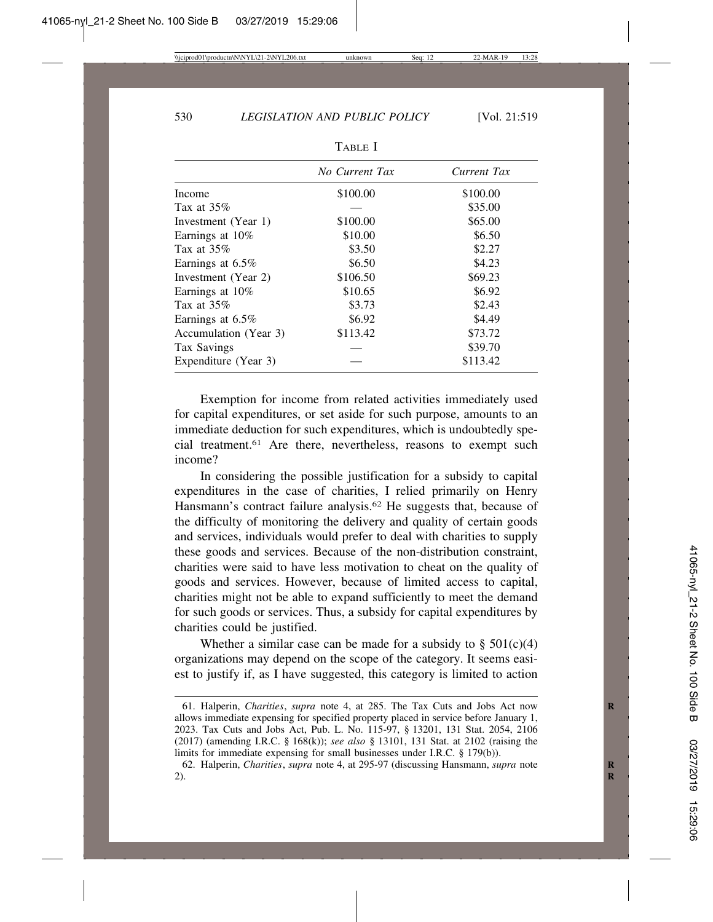|                       | No Current Tax | Current Tax |
|-----------------------|----------------|-------------|
| Income                | \$100.00       | \$100.00    |
| Tax at $35\%$         |                | \$35.00     |
| Investment (Year 1)   | \$100.00       | \$65.00     |
| Earnings at 10%       | \$10.00        | \$6.50      |
| Tax at $35\%$         | \$3.50         | \$2.27      |
| Earnings at $6.5\%$   | \$6.50         | \$4.23      |
| Investment (Year 2)   | \$106.50       | \$69.23     |
| Earnings at 10%       | \$10.65        | \$6.92      |
| Tax at $35\%$         | \$3.73         | \$2.43      |
| Earnings at $6.5\%$   | \$6.92         | \$4.49      |
| Accumulation (Year 3) | \$113.42       | \$73.72     |
| Tax Savings           |                | \$39.70     |
| Expenditure (Year 3)  |                | \$113.42    |

TABLE I

Exemption for income from related activities immediately used for capital expenditures, or set aside for such purpose, amounts to an immediate deduction for such expenditures, which is undoubtedly special treatment.61 Are there, nevertheless, reasons to exempt such income?

In considering the possible justification for a subsidy to capital expenditures in the case of charities, I relied primarily on Henry Hansmann's contract failure analysis.<sup>62</sup> He suggests that, because of the difficulty of monitoring the delivery and quality of certain goods and services, individuals would prefer to deal with charities to supply these goods and services. Because of the non-distribution constraint, charities were said to have less motivation to cheat on the quality of goods and services. However, because of limited access to capital, charities might not be able to expand sufficiently to meet the demand for such goods or services. Thus, a subsidy for capital expenditures by charities could be justified.

Whether a similar case can be made for a subsidy to  $\S 501(c)(4)$ organizations may depend on the scope of the category. It seems easiest to justify if, as I have suggested, this category is limited to action

<sup>61.</sup> Halperin, *Charities*, *supra* note 4, at 285. The Tax Cuts and Jobs Act now **R** allows immediate expensing for specified property placed in service before January 1, 2023. Tax Cuts and Jobs Act, Pub. L. No. 115-97, § 13201, 131 Stat. 2054, 2106 (2017) (amending I.R.C. § 168(k)); *see also* § 13101, 131 Stat. at 2102 (raising the limits for immediate expensing for small businesses under I.R.C. § 179(b)).

<sup>62.</sup> Halperin, *Charities*, *supra* note 4, at 295-97 (discussing Hansmann, *supra* note **R** 2). **R**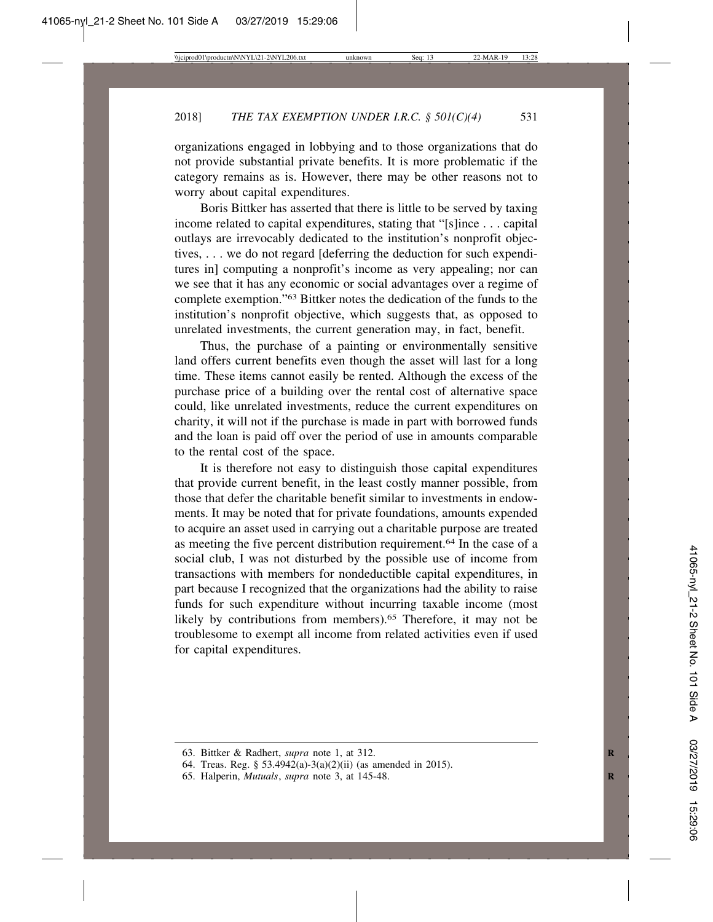organizations engaged in lobbying and to those organizations that do not provide substantial private benefits. It is more problematic if the category remains as is. However, there may be other reasons not to worry about capital expenditures.

Boris Bittker has asserted that there is little to be served by taxing income related to capital expenditures, stating that "[s]ince . . . capital outlays are irrevocably dedicated to the institution's nonprofit objectives, . . . we do not regard [deferring the deduction for such expenditures in] computing a nonprofit's income as very appealing; nor can we see that it has any economic or social advantages over a regime of complete exemption."63 Bittker notes the dedication of the funds to the institution's nonprofit objective, which suggests that, as opposed to unrelated investments, the current generation may, in fact, benefit.

Thus, the purchase of a painting or environmentally sensitive land offers current benefits even though the asset will last for a long time. These items cannot easily be rented. Although the excess of the purchase price of a building over the rental cost of alternative space could, like unrelated investments, reduce the current expenditures on charity, it will not if the purchase is made in part with borrowed funds and the loan is paid off over the period of use in amounts comparable to the rental cost of the space.

It is therefore not easy to distinguish those capital expenditures that provide current benefit, in the least costly manner possible, from those that defer the charitable benefit similar to investments in endowments. It may be noted that for private foundations, amounts expended to acquire an asset used in carrying out a charitable purpose are treated as meeting the five percent distribution requirement.64 In the case of a social club, I was not disturbed by the possible use of income from transactions with members for nondeductible capital expenditures, in part because I recognized that the organizations had the ability to raise funds for such expenditure without incurring taxable income (most likely by contributions from members).<sup>65</sup> Therefore, it may not be troublesome to exempt all income from related activities even if used for capital expenditures.

<sup>63.</sup> Bittker & Radhert, *supra* note 1, at 312. **R**

<sup>64.</sup> Treas. Reg. § 53.4942(a)-3(a)(2)(ii) (as amended in 2015).

<sup>65.</sup> Halperin, *Mutuals*, *supra* note 3, at 145-48. **R**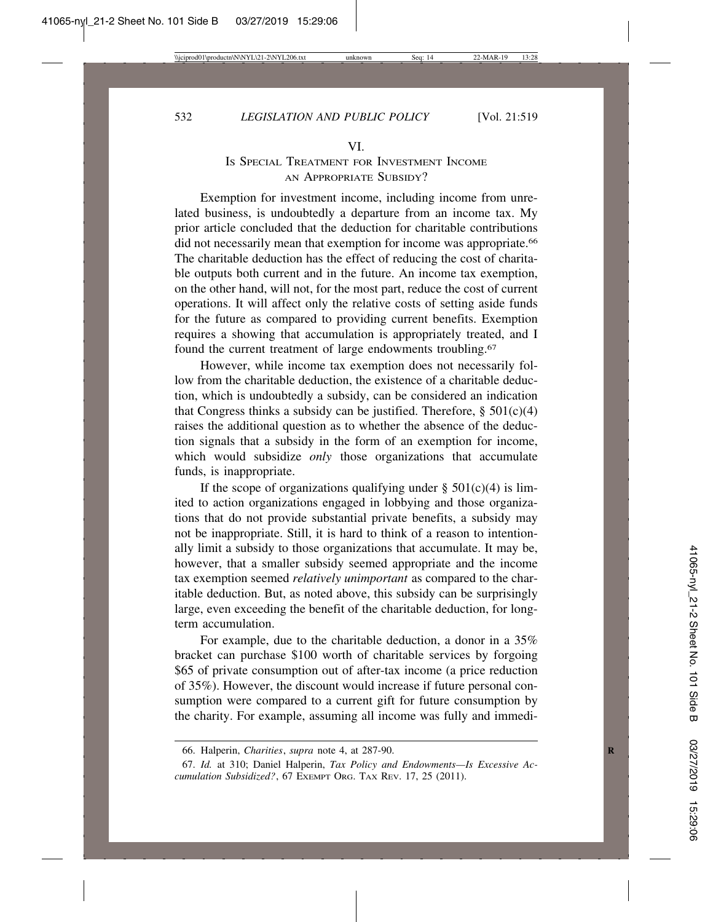# IS SPECIAL TREATMENT FOR INVESTMENT INCOME AN APPROPRIATE SUBSIDY?

Exemption for investment income, including income from unrelated business, is undoubtedly a departure from an income tax. My prior article concluded that the deduction for charitable contributions did not necessarily mean that exemption for income was appropriate.<sup>66</sup> The charitable deduction has the effect of reducing the cost of charitable outputs both current and in the future. An income tax exemption, on the other hand, will not, for the most part, reduce the cost of current operations. It will affect only the relative costs of setting aside funds for the future as compared to providing current benefits. Exemption requires a showing that accumulation is appropriately treated, and I found the current treatment of large endowments troubling.67

However, while income tax exemption does not necessarily follow from the charitable deduction, the existence of a charitable deduction, which is undoubtedly a subsidy, can be considered an indication that Congress thinks a subsidy can be justified. Therefore,  $\S$  501(c)(4) raises the additional question as to whether the absence of the deduction signals that a subsidy in the form of an exemption for income, which would subsidize *only* those organizations that accumulate funds, is inappropriate.

If the scope of organizations qualifying under  $\S$  501(c)(4) is limited to action organizations engaged in lobbying and those organizations that do not provide substantial private benefits, a subsidy may not be inappropriate. Still, it is hard to think of a reason to intentionally limit a subsidy to those organizations that accumulate. It may be, however, that a smaller subsidy seemed appropriate and the income tax exemption seemed *relatively unimportant* as compared to the charitable deduction. But, as noted above, this subsidy can be surprisingly large, even exceeding the benefit of the charitable deduction, for longterm accumulation.

For example, due to the charitable deduction, a donor in a 35% bracket can purchase \$100 worth of charitable services by forgoing \$65 of private consumption out of after-tax income (a price reduction of 35%). However, the discount would increase if future personal consumption were compared to a current gift for future consumption by the charity. For example, assuming all income was fully and immedi-

<sup>66.</sup> Halperin, *Charities*, *supra* note 4, at 287-90. **R**

<sup>67.</sup> *Id.* at 310; Daniel Halperin, *Tax Policy and Endowments—Is Excessive Accumulation Subsidized?*, 67 EXEMPT ORG. TAX REV. 17, 25 (2011).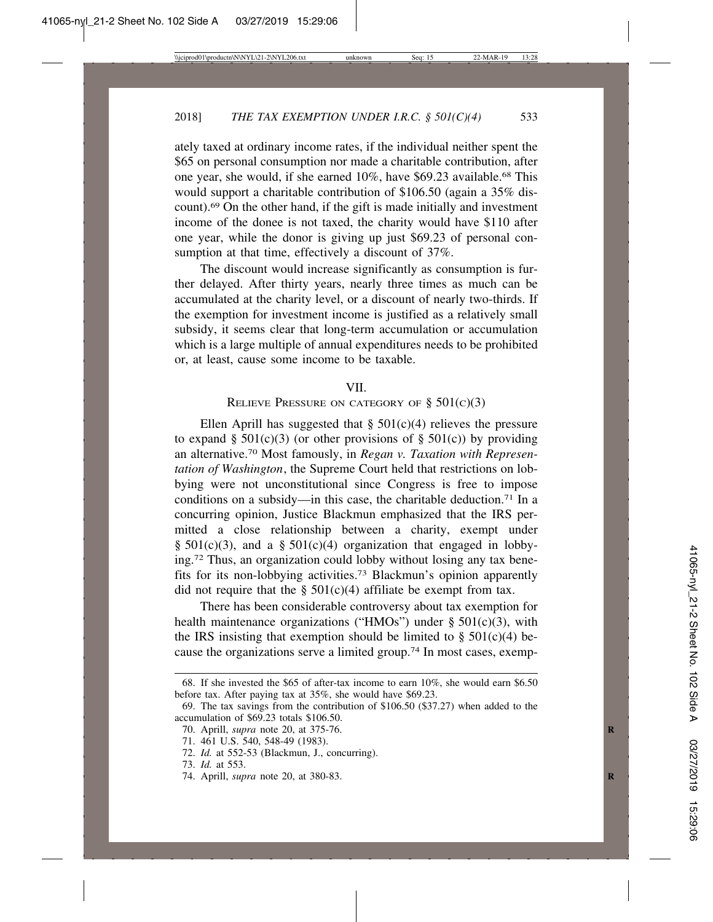ately taxed at ordinary income rates, if the individual neither spent the \$65 on personal consumption nor made a charitable contribution, after one year, she would, if she earned 10%, have \$69.23 available.68 This would support a charitable contribution of \$106.50 (again a 35% discount).69 On the other hand, if the gift is made initially and investment income of the donee is not taxed, the charity would have \$110 after one year, while the donor is giving up just \$69.23 of personal consumption at that time, effectively a discount of 37%.

The discount would increase significantly as consumption is further delayed. After thirty years, nearly three times as much can be accumulated at the charity level, or a discount of nearly two-thirds. If the exemption for investment income is justified as a relatively small subsidy, it seems clear that long-term accumulation or accumulation which is a large multiple of annual expenditures needs to be prohibited or, at least, cause some income to be taxable.

#### VII.

## RELIEVE PRESSURE ON CATEGORY OF  $\S$  501(c)(3)

Ellen Aprill has suggested that  $\S 501(c)(4)$  relieves the pressure to expand § 501(c)(3) (or other provisions of § 501(c)) by providing an alternative.70 Most famously, in *Regan v. Taxation with Representation of Washington*, the Supreme Court held that restrictions on lobbying were not unconstitutional since Congress is free to impose conditions on a subsidy—in this case, the charitable deduction.<sup>71</sup> In a concurring opinion, Justice Blackmun emphasized that the IRS permitted a close relationship between a charity, exempt under §  $501(c)(3)$ , and a §  $501(c)(4)$  organization that engaged in lobbying.72 Thus, an organization could lobby without losing any tax benefits for its non-lobbying activities.73 Blackmun's opinion apparently did not require that the  $\S$  501(c)(4) affiliate be exempt from tax.

There has been considerable controversy about tax exemption for health maintenance organizations ("HMOs") under  $\S$  501(c)(3), with the IRS insisting that exemption should be limited to  $\S$  501(c)(4) because the organizations serve a limited group.74 In most cases, exemp-

<sup>68.</sup> If she invested the \$65 of after-tax income to earn 10%, she would earn \$6.50 before tax. After paying tax at 35%, she would have \$69.23.

<sup>69.</sup> The tax savings from the contribution of \$106.50 (\$37.27) when added to the accumulation of \$69.23 totals \$106.50.

<sup>70.</sup> Aprill, *supra* note 20, at 375-76. **R**

<sup>71. 461</sup> U.S. 540, 548-49 (1983).

<sup>72.</sup> *Id.* at 552-53 (Blackmun, J., concurring).

<sup>73.</sup> *Id.* at 553.

<sup>74.</sup> Aprill, *supra* note 20, at 380-83. **R**